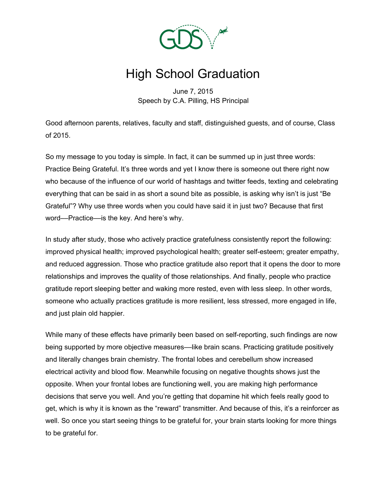

## High School Graduation

June 7, 2015 Speech by C.A. Pilling, HS Principal

Good afternoon parents, relatives, faculty and staff, distinguished guests, and of course, Class of 2015.

So my message to you today is simple. In fact, it can be summed up in just three words: Practice Being Grateful. It's three words and yet I know there is someone out there right now who because of the influence of our world of hashtags and twitter feeds, texting and celebrating everything that can be said in as short a sound bite as possible, is asking why isn't is just "Be Grateful"? Why use three words when you could have said it in just two? Because that first word––Practice––is the key. And here's why.

In study after study, those who actively practice gratefulness consistently report the following: improved physical health; improved psychological health; greater self-esteem; greater empathy, and reduced aggression. Those who practice gratitude also report that it opens the door to more relationships and improves the quality of those relationships. And finally, people who practice gratitude report sleeping better and waking more rested, even with less sleep. In other words, someone who actually practices gratitude is more resilient, less stressed, more engaged in life, and just plain old happier.

While many of these effects have primarily been based on self-reporting, such findings are now being supported by more objective measures—like brain scans. Practicing gratitude positively and literally changes brain chemistry. The frontal lobes and cerebellum show increased electrical activity and blood flow. Meanwhile focusing on negative thoughts shows just the opposite. When your frontal lobes are functioning well, you are making high performance decisions that serve you well. And you're getting that dopamine hit which feels really good to get, which is why it is known as the "reward" transmitter. And because of this, it's a reinforcer as well. So once you start seeing things to be grateful for, your brain starts looking for more things to be grateful for.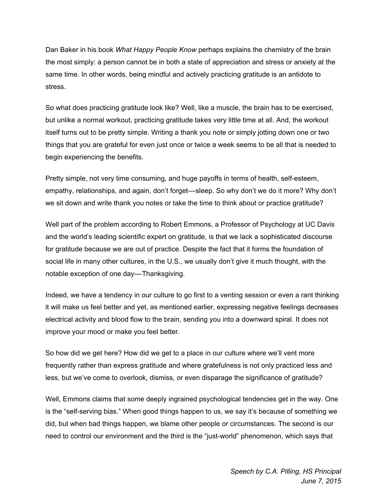Dan Baker in his book *What Happy People Know* perhaps explains the chemistry of the brain the most simply: a person cannot be in both a state of appreciation and stress or anxiety at the same time. In other words, being mindful and actively practicing gratitude is an antidote to stress.

So what does practicing gratitude look like? Well, like a muscle, the brain has to be exercised, but unlike a normal workout, practicing gratitude takes very little time at all. And, the workout itself turns out to be pretty simple. Writing a thank you note or simply jotting down one or two things that you are grateful for even just once or twice a week seems to be all that is needed to begin experiencing the benefits.

Pretty simple, not very time consuming, and huge payoffs in terms of health, self-esteem, empathy, relationships, and again, don't forget—sleep. So why don't we do it more? Why don't we sit down and write thank you notes or take the time to think about or practice gratitude?

Well part of the problem according to Robert Emmons, a Professor of Psychology at UC Davis and the world's leading scientific expert on gratitude, is that we lack a sophisticated discourse for gratitude because we are out of practice. Despite the fact that it forms the foundation of social life in many other cultures, in the U.S., we usually don't give it much thought, with the notable exception of one day––Thanksgiving.

Indeed, we have a tendency in our culture to go first to a venting session or even a rant thinking it will make us feel better and yet, as mentioned earlier, expressing negative feelings decreases electrical activity and blood flow to the brain, sending you into a downward spiral. It does not improve your mood or make you feel better.

So how did we get here? How did we get to a place in our culture where we'll vent more frequently rather than express gratitude and where gratefulness is not only practiced less and less, but we've come to overlook, dismiss, or even disparage the significance of gratitude?

Well, Emmons claims that some deeply ingrained psychological tendencies get in the way. One is the "self-serving bias." When good things happen to us, we say it's because of something we did, but when bad things happen, we blame other people or circumstances. The second is our need to control our environment and the third is the "just-world" phenomenon, which says that